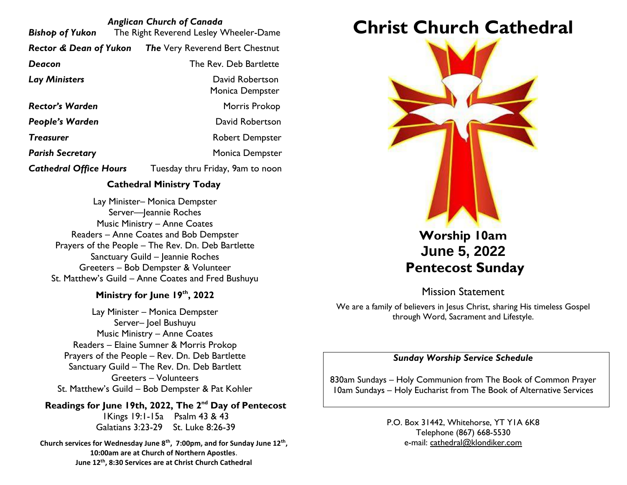| <b>Anglican Church of Canada</b><br>The Right Reverend Lesley Wheeler-Dame<br>Bishop of Yukon |                                                                   |  |  |
|-----------------------------------------------------------------------------------------------|-------------------------------------------------------------------|--|--|
|                                                                                               | <b>Rector &amp; Dean of Yukon</b> The Very Reverend Bert Chestnut |  |  |
| Deacon                                                                                        | The Rev. Deb Bartlette                                            |  |  |
| <b>Lay Ministers</b>                                                                          | David Robertson<br>Monica Dempster                                |  |  |
| <b>Rector's Warden</b>                                                                        | Morris Prokop                                                     |  |  |
| <b>People's Warden</b>                                                                        | David Robertson                                                   |  |  |
| <b>Treasurer</b>                                                                              | <b>Robert Dempster</b>                                            |  |  |
| <b>Parish Secretary</b>                                                                       | Monica Dempster                                                   |  |  |
| <b>Cathedral Office Hours</b>                                                                 | Tuesday thru Friday, 9am to noon                                  |  |  |

#### **Cathedral Ministry Today**

Lay Minister– Monica Dempster Server-Jeannie Roches Music Ministry – Anne Coates Readers – Anne Coates and Bob Dempster Prayers of the People – The Rev. Dn. Deb Bartlette Sanctuary Guild – Jeannie Roches Greeters – Bob Dempster & Volunteer St. Matthew's Guild – Anne Coates and Fred Bushuyu

#### **Ministry for June 19th, 2022**

Lay Minister – Monica Dempster Server– Joel Bushuyu Music Ministry – Anne Coates Readers – Elaine Sumner & Morris Prokop Prayers of the People – Rev. Dn. Deb Bartlette Sanctuary Guild – The Rev. Dn. Deb Bartlett Greeters – Volunteers St. Matthew's Guild – Bob Dempster & Pat Kohler

**Readings for June 19th, 2022, The 2nd Day of Pentecost** 1Kings 19:1-15a Psalm 43 & 43 Galatians 3:23-29 St. Luke 8:26-39

**Church services for Wednesday June 8th, 7:00pm, and for Sunday June 12th , 10:00am are at Church of Northern Apostles**. **June 12th, 8:30 Services are at Christ Church Cathedral**

# **Christ Church Cathedral**



# **Worship 10am June 5, 2022 Pentecost Sunday**

Mission Statement

We are a family of believers in Jesus Christ, sharing His timeless Gospel through Word, Sacrament and Lifestyle.

#### *Sunday Worship Service Schedule*

830am Sundays – Holy Communion from The Book of Common Prayer 10am Sundays – Holy Eucharist from The Book of Alternative Services

> P.O. Box 31442, Whitehorse, YT Y1A 6K8 Telephone (867) 668-5530 e-mail: [cathedral@klondiker.com](mailto:cathedral@klondiker.com)